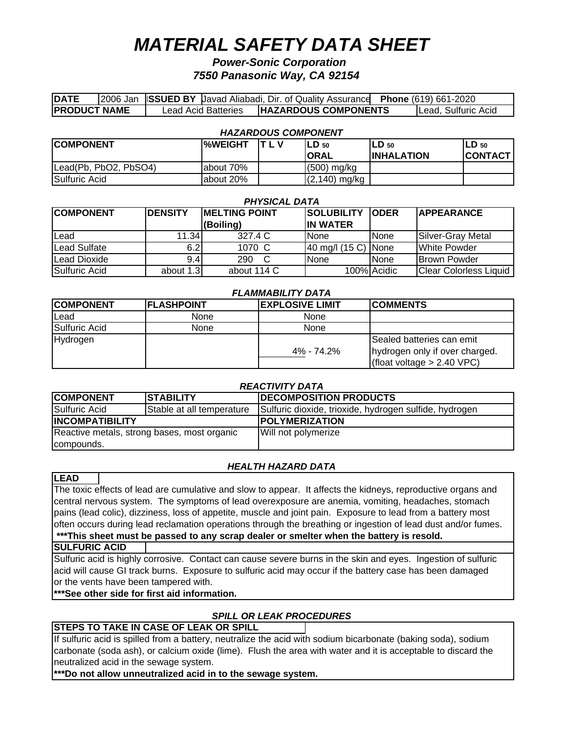# *MATERIAL SAFETY DATA SHEET*

# *Power-Sonic Corporation 7550 Panasonic Way, CA 92154*

| <b>DATE</b>          |  |                     | 2006 Jan ISSUED BY Javad Aliabadi, Dir. of Quality Assurance Phone (619) 661-2020 |                      |
|----------------------|--|---------------------|-----------------------------------------------------------------------------------|----------------------|
| <b>IPRODUCT NAME</b> |  | Lead Acid Batteries | <b>HAZARDOUS COMPONENTS</b>                                                       | ILead. Sulfuric Acid |

| <b>HAZARDOUS COMPONENT</b> |            |     |                  |                    |                 |
|----------------------------|------------|-----|------------------|--------------------|-----------------|
| <b>COMPONENT</b>           | l%WEIGHT   | TLV | $LD_{50}$        | ILD 50             | LD 50           |
|                            |            |     | <b>ORAL</b>      | <b>IINHALATION</b> | <b>ICONTACT</b> |
| Lead(Pb, PbO2, PbSO4)      | labout 70% |     | $(500)$ mg/kg    |                    |                 |
| Sulfuric Acid              | labout 20% |     | $(2, 140)$ mg/kg |                    |                 |

| <b>PHYSICAL DATA</b> |                                         |             |                     |             |                               |
|----------------------|-----------------------------------------|-------------|---------------------|-------------|-------------------------------|
| <b>COMPONENT</b>     | <b>IDENSITY</b><br><b>MELTING POINT</b> |             | <b>SOLUBILITY</b>   | <b>ODER</b> | <b>IAPPEARANCE</b>            |
|                      |                                         | (Boiling)   | <b>IIN WATER</b>    |             |                               |
| Lead                 | 11.34                                   | 327.4 C     | <b>None</b>         | <b>None</b> | Silver-Gray Metal             |
| <b>Lead Sulfate</b>  | 6.2                                     | 1070 C      | 40 mg/l (15 C) None |             | <b>White Powder</b>           |
| Lead Dioxide         | 9.4                                     | 290         | <b>I</b> None       | None        | <b>Brown Powder</b>           |
| Sulfuric Acid        | about 1.3                               | about 114 C |                     | 100% Acidic | <b>Clear Colorless Liquid</b> |

| <b>FLAMMABILITY DATA</b> |  |
|--------------------------|--|
|--------------------------|--|

| <b>COMPONENT</b> | <b>IFLASHPOINT</b> | <b>IEXPLOSIVE LIMIT</b> | <b>ICOMMENTS</b>                                                                              |
|------------------|--------------------|-------------------------|-----------------------------------------------------------------------------------------------|
| Lead             | None               | None                    |                                                                                               |
| Sulfuric Acid    | None               | None                    |                                                                                               |
| Hydrogen         |                    | 4% - 74.2%              | Sealed batteries can emit<br>hydrogen only if over charged.<br>$ $ (float voltage > 2.40 VPC) |

## *REACTIVITY DATA*

| <b>COMPONENT</b>                            | <b>STABILITY</b> | <b>DECOMPOSITION PRODUCTS</b>                          |  |  |
|---------------------------------------------|------------------|--------------------------------------------------------|--|--|
| Sulfuric Acid<br>Stable at all temperature  |                  | Sulfuric dioxide, trioxide, hydrogen sulfide, hydrogen |  |  |
| <b>INCOMPATIBILITY</b>                      |                  | <b>IPOLYMERIZATION</b>                                 |  |  |
| Reactive metals, strong bases, most organic |                  | Will not polymerize                                    |  |  |
| compounds.                                  |                  |                                                        |  |  |

# *HEALTH HAZARD DATA*

## **LEAD**

The toxic effects of lead are cumulative and slow to appear. It affects the kidneys, reproductive organs and central nervous system. The symptoms of lead overexposure are anemia, vomiting, headaches, stomach pains (lead colic), dizziness, loss of appetite, muscle and joint pain. Exposure to lead from a battery most often occurs during lead reclamation operations through the breathing or ingestion of lead dust and/or fumes.  **\*\*\*This sheet must be passed to any scrap dealer or smelter when the battery is resold.**

## **SULFURIC ACID**

Sulfuric acid is highly corrosive. Contact can cause severe burns in the skin and eyes. Ingestion of sulfuric acid will cause GI track burns. Exposure to sulfuric acid may occur if the battery case has been damaged or the vents have been tampered with.

# **\*\*\*See other side for first aid information.**

# *SPILL OR LEAK PROCEDURES*

# **STEPS TO TAKE IN CASE OF LEAK OR SPILL**

If sulfuric acid is spilled from a battery, neutralize the acid with sodium bicarbonate (baking soda), sodium carbonate (soda ash), or calcium oxide (lime). Flush the area with water and it is acceptable to discard the neutralized acid in the sewage system.

**\*\*\*Do not allow unneutralized acid in to the sewage system.**